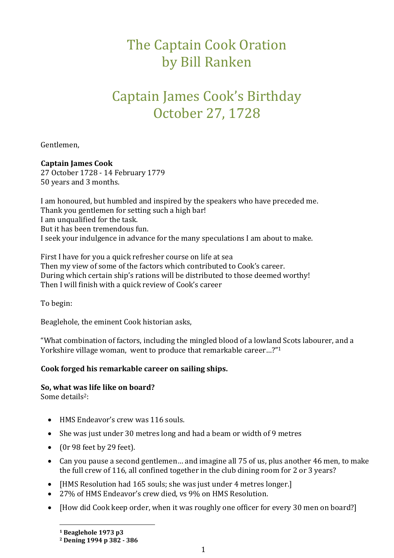# The Captain Cook Oration by Bill Ranken

# Captain James Cook's Birthday October 27, 1728

Gentlemen,

#### **Captain James Cook**

27 October 1728 - 14 February 1779 50 years and 3 months.

I am honoured, but humbled and inspired by the speakers who have preceded me. Thank you gentlemen for setting such a high bar! I am unqualified for the task. But it has been tremendous fun. I seek your indulgence in advance for the many speculations I am about to make.

First I have for you a quick refresher course on life at sea Then my view of some of the factors which contributed to Cook's career. During which certain ship's rations will be distributed to those deemed worthy! Then I will finish with a quick review of Cook's career

To begin:

Beaglehole, the eminent Cook historian asks,

"What combination of factors, including the mingled blood of a lowland Scots labourer, and a Yorkshire village woman, went to produce that remarkable career…?" 1

#### **Cook forged his remarkable career on sailing ships.**

#### **So, what was life like on board?**

Some details2:

- HMS Endeavor's crew was 116 souls.
- She was just under 30 metres long and had a beam or width of 9 metres
- $\bullet$  (Or 98 feet by 29 feet).
- Can you pause a second gentlemen… and imagine all 75 of us, plus another 46 men, to make the full crew of 116, all confined together in the club dining room for 2 or 3 years?
- [HMS Resolution had 165 souls; she was just under 4 metres longer.]
- 27% of HMS Endeavor's crew died, vs 9% on HMS Resolution.
- [How did Cook keep order, when it was roughly one officer for every 30 men on board?]

**<sup>1</sup> Beaglehole 1973 p3**

**<sup>2</sup> Dening 1994 p 382 - 386**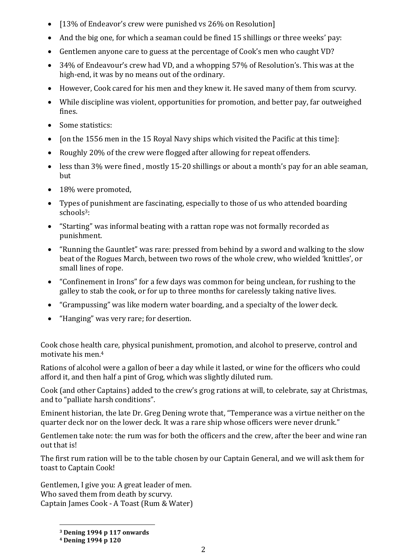- $\bullet$  [13% of Endeavor's crew were punished vs 26% on Resolution]
- And the big one, for which a seaman could be fined 15 shillings or three weeks' pay:
- Gentlemen anyone care to guess at the percentage of Cook's men who caught VD?
- 34% of Endeavour's crew had VD, and a whopping 57% of Resolution's. This was at the high-end, it was by no means out of the ordinary.
- However, Cook cared for his men and they knew it. He saved many of them from scurvy.
- While discipline was violent, opportunities for promotion, and better pay, far outweighed fines.
- Some statistics:
- $\bullet$  [on the 1556 men in the 15 Royal Navy ships which visited the Pacific at this time]:
- Roughly 20% of the crew were flogged after allowing for repeat offenders.
- less than 3% were fined , mostly 15-20 shillings or about a month's pay for an able seaman, but
- 18% were promoted,
- Types of punishment are fascinating, especially to those of us who attended boarding schools<sup>3</sup>:
- "Starting" was informal beating with a rattan rope was not formally recorded as punishment.
- "Running the Gauntlet" was rare: pressed from behind by a sword and walking to the slow beat of the Rogues March, between two rows of the whole crew, who wielded 'knittles', or small lines of rope.
- "Confinement in Irons" for a few days was common for being unclean, for rushing to the galley to stab the cook, or for up to three months for carelessly taking native lives.
- "Grampussing" was like modern water boarding, and a specialty of the lower deck.
- "Hanging" was very rare; for desertion.

Cook chose health care, physical punishment, promotion, and alcohol to preserve, control and motivate his men.<sup>4</sup>

Rations of alcohol were a gallon of beer a day while it lasted, or wine for the officers who could afford it, and then half a pint of Grog, which was slightly diluted rum.

Cook (and other Captains) added to the crew's grog rations at will, to celebrate, say at Christmas, and to "palliate harsh conditions".

Eminent historian, the late Dr. Greg Dening wrote that, "Temperance was a virtue neither on the quarter deck nor on the lower deck. It was a rare ship whose officers were never drunk."

Gentlemen take note: the rum was for both the officers and the crew, after the beer and wine ran out that is!

The first rum ration will be to the table chosen by our Captain General, and we will ask them for toast to Captain Cook!

Gentlemen, I give you: A great leader of men. Who saved them from death by scurvy. Captain James Cook - A Toast (Rum & Water)

**<sup>3</sup> Dening 1994 p 117 onwards**

**<sup>4</sup> Dening 1994 p 120**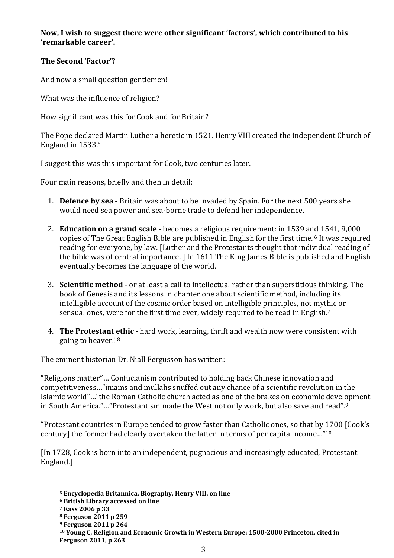**Now, I wish to suggest there were other significant 'factors', which contributed to his 'remarkable career'.**

# **The Second 'Factor'?**

And now a small question gentlemen!

What was the influence of religion?

How significant was this for Cook and for Britain?

The Pope declared Martin Luther a heretic in 1521. Henry VIII created the independent Church of England in 1533. 5

I suggest this was this important for Cook, two centuries later.

Four main reasons, briefly and then in detail:

- 1. **Defence by sea** Britain was about to be invaded by Spain. For the next 500 years she would need sea power and sea-borne trade to defend her independence.
- 2. **Education on a grand scale** becomes a religious requirement: in 1539 and 1541, 9,000 copies of The Great English Bible are published in English for the first time. <sup>6</sup> It was required reading for everyone, by law. [Luther and the Protestants thought that individual reading of the bible was of central importance. ] In 1611 The King James Bible is published and English eventually becomes the language of the world.
- 3. **Scientific method** or at least a call to intellectual rather than superstitious thinking. The book of Genesis and its lessons in chapter one about scientific method, including its intelligible account of the cosmic order based on intelligible principles, not mythic or sensual ones, were for the first time ever, widely required to be read in English. 7
- 4. **The Protestant ethic** hard work, learning, thrift and wealth now were consistent with going to heaven! <sup>8</sup>

The eminent historian Dr. Niall Fergusson has written:

"Religions matter"… Confucianism contributed to holding back Chinese innovation and competitiveness…"imams and mullahs snuffed out any chance of a scientific revolution in the Islamic world"…"the Roman Catholic church acted as one of the brakes on economic development in South America."…"Protestantism made the West not only work, but also save and read".<sup>9</sup>

"Protestant countries in Europe tended to grow faster than Catholic ones, so that by 1700 [Cook's century] the former had clearly overtaken the latter in terms of per capita income…" 10

[In 1728, Cook is born into an independent, pugnacious and increasingly educated, Protestant England.]

**<sup>5</sup> Encyclopedia Britannica, Biography, Henry VIII, on line**

**<sup>6</sup> British Library accessed on line**

**<sup>7</sup> Kass 2006 p 33**

**<sup>8</sup> Ferguson 2011 p 259**

**<sup>9</sup> Ferguson 2011 p 264**

**<sup>10</sup> Young C, Religion and Economic Growth in Western Europe: 1500-2000 Princeton, cited in Ferguson 2011, p 263**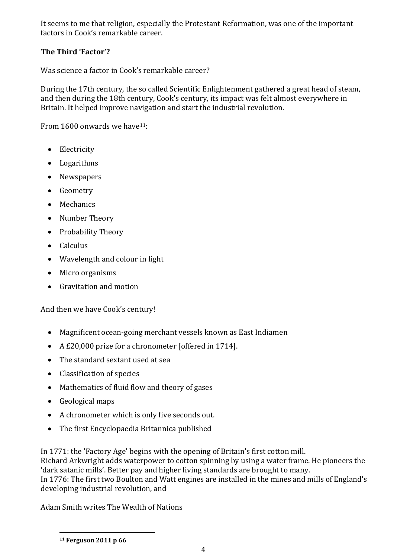It seems to me that religion, especially the Protestant Reformation, was one of the important factors in Cook's remarkable career.

# **The Third 'Factor'?**

Was science a factor in Cook's remarkable career?

During the 17th century, the so called Scientific Enlightenment gathered a great head of steam, and then during the 18th century, Cook's century, its impact was felt almost everywhere in Britain. It helped improve navigation and start the industrial revolution.

From  $1600$  onwards we have<sup>11</sup>:

- Electricity
- Logarithms
- Newspapers
- Geometry
- Mechanics
- Number Theory
- Probability Theory
- $\bullet$  Calculus
- Wavelength and colour in light
- Micro organisms
- Gravitation and motion

And then we have Cook's century!

- Magnificent ocean-going merchant vessels known as East Indiamen
- A £20,000 prize for a chronometer [offered in 1714].
- The standard sextant used at sea
- Classification of species
- Mathematics of fluid flow and theory of gases
- Geological maps
- A chronometer which is only five seconds out.
- The first Encyclopaedia Britannica published

In 1771: the 'Factory Age' begins with the opening of Britain's first cotton mill.

Richard Arkwright adds waterpower to cotton spinning by using a water frame. He pioneers the 'dark satanic mills'. Better pay and higher living standards are brought to many.

In 1776: The first two Boulton and Watt engines are installed in the mines and mills of England's developing industrial revolution, and

Adam Smith writes The Wealth of Nations

**<sup>11</sup> Ferguson 2011 p 66**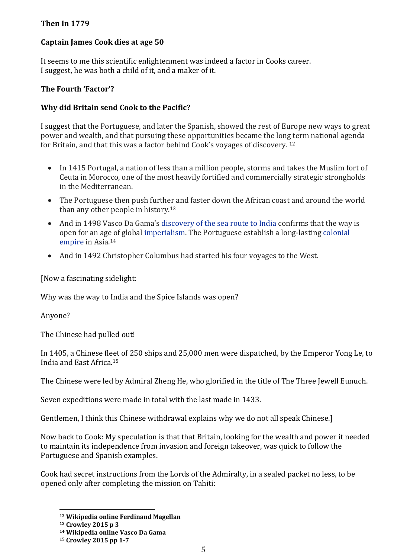#### **Then In 1779**

## **Captain James Cook dies at age 50**

It seems to me this scientific enlightenment was indeed a factor in Cooks career. I suggest, he was both a child of it, and a maker of it.

## **The Fourth 'Factor'?**

## **Why did Britain send Cook to the Pacific?**

I suggest that the Portuguese, and later the Spanish, showed the rest of Europe new ways to great power and wealth, and that pursuing these opportunities became the long term national agenda for Britain, and that this was a factor behind Cook's voyages of discovery. <sup>12</sup>

- In 1415 Portugal, a nation of less than a million people, storms and takes the Muslim fort of Ceuta in Morocco, one of the most heavily fortified and commercially strategic strongholds in the Mediterranean.
- The Portuguese then push further and faster down the African coast and around the world than any other people in history.<sup>13</sup>
- And in 1498 Vasco Da Gama's [discovery of the sea route to India](https://en.wikipedia.org/wiki/Discovery_of_the_sea_route_to_India) confirms that the way is open for an age of global [imperialism.](https://en.wikipedia.org/wiki/Imperialism) The Portuguese establish a long-lasting [colonial](https://en.wikipedia.org/wiki/Colonial_empire)  [empire](https://en.wikipedia.org/wiki/Colonial_empire) in Asia.<sup>14</sup>
- And in 1492 Christopher Columbus had started his four voyages to the West.

[Now a fascinating sidelight:

Why was the way to India and the Spice Islands was open?

Anyone?

The Chinese had pulled out!

In 1405, a Chinese fleet of 250 ships and 25,000 men were dispatched, by the Emperor Yong Le, to India and East Africa.<sup>15</sup>

The Chinese were led by Admiral Zheng He, who glorified in the title of The Three Jewell Eunuch.

Seven expeditions were made in total with the last made in 1433.

Gentlemen, I think this Chinese withdrawal explains why we do not all speak Chinese.]

Now back to Cook: My speculation is that that Britain, looking for the wealth and power it needed to maintain its independence from invasion and foreign takeover, was quick to follow the Portuguese and Spanish examples.

Cook had secret instructions from the Lords of the Admiralty, in a sealed packet no less, to be opened only after completing the mission on Tahiti:

**<sup>12</sup> Wikipedia online Ferdinand Magellan**

**<sup>13</sup> Crowley 2015 p 3**

**<sup>14</sup> Wikipedia online Vasco Da Gama**

**<sup>15</sup> Crowley 2015 pp 1-7**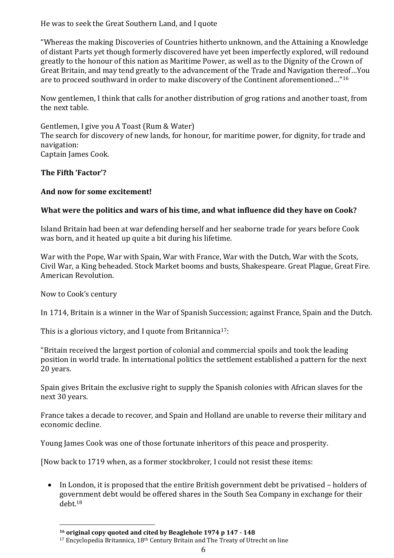He was to seek the Great Southern Land, and I quote

"Whereas the making Discoveries of Countries hitherto unknown, and the Attaining a Knowledge of distant Parts yet though formerly discovered have yet been imperfectly explored, will redound greatly to the honour of this nation as Maritime Power, as well as to the Dignity of the Crown of Great Britain, and may tend greatly to the advancement of the Trade and Navigation thereof…You are to proceed southward in order to make discovery of the Continent aforementioned…"<sup>16</sup>

Now gentlemen, I think that calls for another distribution of grog rations and another toast, from the next table.

Gentlemen, I give you A Toast (Rum & Water) The search for discovery of new lands, for honour, for maritime power, for dignity, for trade and navigation: Captain James Cook.

#### **The Fifth 'Factor'?**

#### **And now for some excitement!**

#### **What were the politics and wars of his time, and what influence did they have on Cook?**

Island Britain had been at war defending herself and her seaborne trade for years before Cook was born, and it heated up quite a bit during his lifetime.

War with the Pope, War with Spain, War with France, War with the Dutch, War with the Scots, Civil War, a King beheaded. Stock Market booms and busts, Shakespeare. Great Plague, Great Fire. American Revolution.

Now to Cook's century

 $\overline{\phantom{a}}$ 

In 1714, Britain is a winner in the War of Spanish Succession; against France, Spain and the Dutch.

This is a glorious victory, and I quote from Britannica<sup>17</sup>:

"Britain received the largest portion of colonial and commercial spoils and took the leading position in world trade. In international politics the settlement established a pattern for the next 20 years.

Spain gives Britain the exclusive right to supply the Spanish colonies with African slaves for the next 30 years.

France takes a decade to recover, and Spain and Holland are unable to reverse their military and economic decline.

Young James Cook was one of those fortunate inheritors of this peace and prosperity.

[Now back to 1719 when, as a former stockbroker, I could not resist these items:

 In London, it is proposed that the entire British government debt be privatised – holders of government debt would be offered shares in the South Sea Company in exchange for their debt.<sup>18</sup>

**<sup>16</sup> original copy quoted and cited by Beaglehole 1974 p 147 - 148**

<sup>17</sup> Encyclopedia Britannica, 18<sup>th</sup> Century Britain and The Treaty of Utrecht on line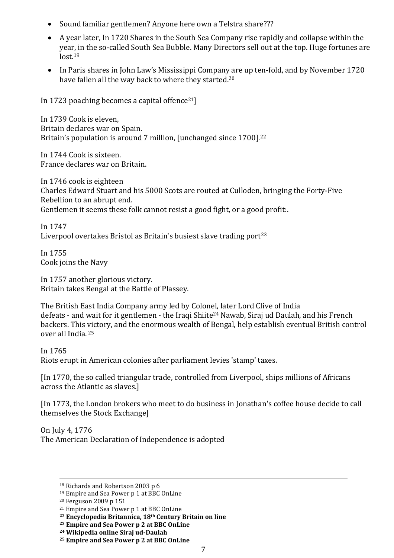- Sound familiar gentlemen? Anyone here own a Telstra share???
- A year later, In 1720 Shares in the South Sea Company rise rapidly and collapse within the year, in the so-called South Sea Bubble. Many Directors sell out at the top. Huge fortunes are  $lost<sub>.19</sub>$
- In Paris shares in John Law's Mississippi Company are up ten-fold, and by November 1720 have fallen all the way back to where they started.<sup>20</sup>

In 1723 poaching becomes a capital offence<sup>21</sup>]

In 1739 Cook is eleven, Britain declares war on Spain. Britain's population is around 7 million, [unchanged since 1700].<sup>22</sup>

In 1744 Cook is sixteen. France declares war on Britain.

In 1746 cook is eighteen Charles Edward Stuart and his 5000 Scots are routed at Culloden, bringing the Forty-Five Rebellion to an abrupt end. Gentlemen it seems these folk cannot resist a good fight, or a good profit:.

In 1747 Liverpool overtakes Bristol as Britain's busiest slave trading port<sup>23</sup>

In 1755 Cook joins the Navy

In 1757 another glorious victory. Britain takes Bengal at the Battle of Plassey.

The British East India Company army led by Colonel, later Lord Clive of India defeats - and wait for it gentlemen - the Iraqi Shiite<sup>24</sup> Nawab, Siraj ud Daulah, and his French backers. This victory, and the enormous wealth of Bengal, help establish eventual British control over all India. <sup>25</sup>

In 1765

 $\overline{\phantom{a}}$ 

Riots erupt in American colonies after parliament levies 'stamp' taxes.

[In 1770, the so called triangular trade, controlled from Liverpool, ships millions of Africans across the Atlantic as slaves.]

[In 1773, the London brokers who meet to do business in Jonathan's coffee house decide to call themselves the Stock Exchange]

On July 4, 1776 The American Declaration of Independence is adopted

<sup>18</sup> Richards and Robertson 2003 p 6

<sup>19</sup> Empire and Sea Power p 1 at BBC OnLine

<sup>20</sup> Ferguson 2009 p 151

<sup>21</sup> Empire and Sea Power p 1 at BBC OnLine

**<sup>22</sup> Encyclopedia Britannica, 18th Century Britain on line**

**<sup>23</sup> Empire and Sea Power p 2 at BBC OnLine**

**<sup>24</sup> Wikipedia online Siraj ud-Daulah**

**<sup>25</sup> Empire and Sea Power p 2 at BBC OnLine**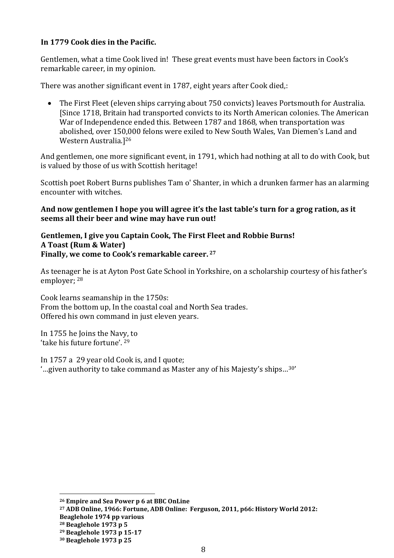#### **In 1779 Cook dies in the Pacific.**

Gentlemen, what a time Cook lived in! These great events must have been factors in Cook's remarkable career, in my opinion.

There was another significant event in 1787, eight years after Cook died,:

 The First Fleet (eleven ships carrying about 750 convicts) leaves Portsmouth for Australia. [Since 1718, Britain had transported convicts to its North American colonies. The American War of Independence ended this. Between 1787 and 1868, when transportation was abolished, over 150,000 felons were exiled to New South Wales, Van Diemen's Land and Western Australia.] 26

And gentlemen, one more significant event, in 1791, which had nothing at all to do with Cook, but is valued by those of us with Scottish heritage!

Scottish poet Robert Burns publishes Tam o' Shanter, in which a drunken farmer has an alarming encounter with witches.

**And now gentlemen I hope you will agree it's the last table's turn for a grog ration, as it seems all their beer and wine may have run out!**

#### **Gentlemen, I give you Captain Cook, The First Fleet and Robbie Burns! A Toast (Rum & Water) Finally, we come to Cook's remarkable career. <sup>27</sup>**

As teenager he is at Ayton Post Gate School in Yorkshire, on a scholarship courtesy of his father's employer; <sup>28</sup>

Cook learns seamanship in the 1750s: From the bottom up, In the coastal coal and North Sea trades. Offered his own command in just eleven years.

In 1755 he Joins the Navy, to 'take his future fortune'. <sup>29</sup>

In 1757 a 29 year old Cook is, and I quote; '…given authority to take command as Master any of his Majesty's ships…30'

 $\overline{a}$ 

**<sup>26</sup> Empire and Sea Power p 6 at BBC OnLine**

**<sup>27</sup> ADB Online, 1966: Fortune, ADB Online: Ferguson, 2011, p66: History World 2012:** 

**Beaglehole 1974 pp various**

**<sup>28</sup> Beaglehole 1973 p 5**

**<sup>29</sup> Beaglehole 1973 p 15-17**

**<sup>30</sup> Beaglehole 1973 p 25**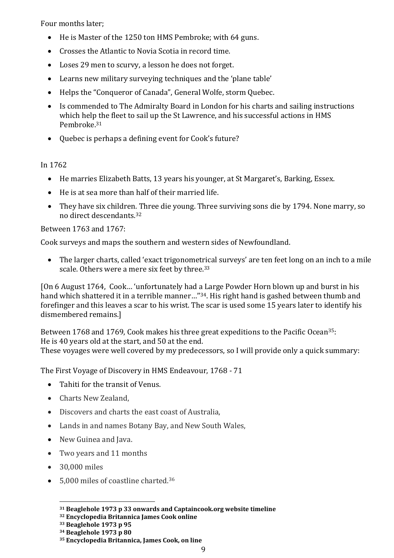Four months later;

- He is Master of the 1250 ton HMS Pembroke; with 64 guns.
- Crosses the Atlantic to Novia Scotia in record time.
- Loses 29 men to scurvy, a lesson he does not forget.
- Learns new military surveying techniques and the 'plane table'
- Helps the "Conqueror of Canada", General Wolfe, storm Quebec.
- Is commended to The Admiralty Board in London for his charts and sailing instructions which help the fleet to sail up the St Lawrence, and his successful actions in HMS Pembroke. 31
- Quebec is perhaps a defining event for Cook's future?

#### In 1762

- He marries Elizabeth Batts, 13 years his younger, at St Margaret's, Barking, Essex.
- He is at sea more than half of their married life.
- They have six children. Three die young. Three surviving sons die by 1794. None marry, so no direct descendants.<sup>32</sup>

#### Between 1763 and 1767:

Cook surveys and maps the southern and western sides of Newfoundland.

 The larger charts, called 'exact trigonometrical surveys' are ten feet long on an inch to a mile scale. Others were a mere six feet by three.<sup>33</sup>

[On 6 August 1764, Cook… 'unfortunately had a Large Powder Horn blown up and burst in his hand which shattered it in a terrible manner..."<sup>34</sup>. His right hand is gashed between thumb and forefinger and this leaves a scar to his wrist. The scar is used some 15 years later to identify his dismembered remains.]

Between 1768 and 1769, Cook makes his three great expeditions to the Pacific Ocean<sup>35</sup>: He is 40 years old at the start, and 50 at the end. These voyages were well covered by my predecessors, so I will provide only a quick summary:

The First Voyage of Discovery in HMS Endeavour, 1768 - 71

- Tahiti for the transit of Venus.
- Charts New Zealand,
- Discovers and charts the east coast of Australia,
- Lands in and names Botany Bay, and New South Wales,
- New Guinea and Java.
- Two years and 11 months
- 30,000 miles

 $\overline{\phantom{a}}$ 

5,000 miles of coastline charted. 36

**<sup>31</sup> Beaglehole 1973 p 33 onwards and Captaincook.org website timeline**

**<sup>32</sup> Encyclopedia Britannica James Cook online**

**<sup>33</sup> Beaglehole 1973 p 95**

**<sup>34</sup> Beaglehole 1973 p 80**

**<sup>35</sup> Encyclopedia Britannica, James Cook, on line**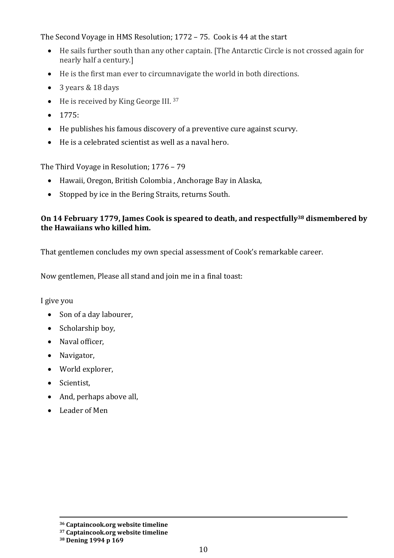The Second Voyage in HMS Resolution; 1772 – 75. Cook is 44 at the start

- He sails further south than any other captain. [The Antarctic Circle is not crossed again for nearly half a century.]
- He is the first man ever to circumnavigate the world in both directions.
- 3 years & 18 days
- He is received by King George III. 37
- 1775:
- He publishes his famous discovery of a preventive cure against scurvy.
- He is a celebrated scientist as well as a naval hero.

The Third Voyage in Resolution; 1776 – 79

- Hawaii, Oregon, British Colombia , Anchorage Bay in Alaska,
- Stopped by ice in the Bering Straits, returns South.

#### **On 14 February 1779, James Cook is speared to death, and respectfully<sup>38</sup> dismembered by the Hawaiians who killed him.**

That gentlemen concludes my own special assessment of Cook's remarkable career.

Now gentlemen, Please all stand and join me in a final toast:

I give you

- Son of a day labourer,
- Scholarship boy,
- Naval officer,
- Navigator,
- World explorer,
- Scientist,
- And, perhaps above all,
- Leader of Men

 $\overline{\phantom{a}}$ **<sup>36</sup> Captaincook.org website timeline**

**<sup>37</sup> Captaincook.org website timeline**

**<sup>38</sup> Dening 1994 p 169**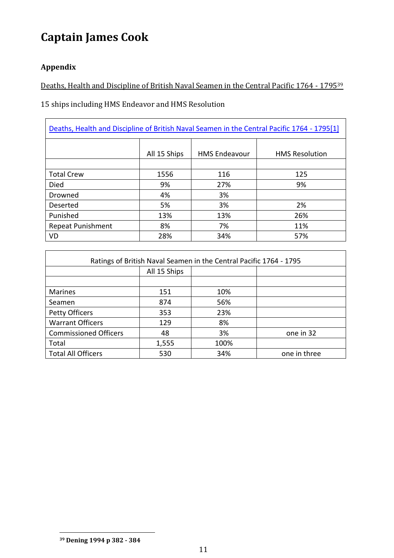# **Captain James Cook**

# **Appendix**

 $\mathsf{r}$ 

Deaths, Health and Discipline of British Naval Seamen in the Central Pacific 1764 - 1795<sup>39</sup>

15 ships including HMS Endeavor and HMS Resolution

| Deaths, Health and Discipline of British Naval Seamen in the Central Pacific 1764 - 1795[1] |              |                      |                       |  |
|---------------------------------------------------------------------------------------------|--------------|----------------------|-----------------------|--|
|                                                                                             | All 15 Ships | <b>HMS Endeavour</b> | <b>HMS Resolution</b> |  |
|                                                                                             |              |                      |                       |  |
| <b>Total Crew</b>                                                                           | 1556         | 116                  | 125                   |  |
| <b>Died</b>                                                                                 | 9%           | 27%                  | 9%                    |  |
| Drowned                                                                                     | 4%           | 3%                   |                       |  |
| Deserted                                                                                    | 5%           | 3%                   | 2%                    |  |
| Punished                                                                                    | 13%          | 13%                  | 26%                   |  |
| <b>Repeat Punishment</b>                                                                    | 8%           | 7%                   | 11%                   |  |
| VD                                                                                          | 28%          | 34%                  | 57%                   |  |

| Ratings of British Naval Seamen in the Central Pacific 1764 - 1795 |              |      |              |  |
|--------------------------------------------------------------------|--------------|------|--------------|--|
|                                                                    | All 15 Ships |      |              |  |
|                                                                    |              |      |              |  |
| <b>Marines</b>                                                     | 151          | 10%  |              |  |
| Seamen                                                             | 874          | 56%  |              |  |
| <b>Petty Officers</b>                                              | 353          | 23%  |              |  |
| <b>Warrant Officers</b>                                            | 129          | 8%   |              |  |
| <b>Commissioned Officers</b>                                       | 48           | 3%   | one in 32    |  |
| Total                                                              | 1,555        | 100% |              |  |
| <b>Total All Officers</b>                                          | 530          | 34%  | one in three |  |

**<sup>39</sup> Dening 1994 p 382 - 384**